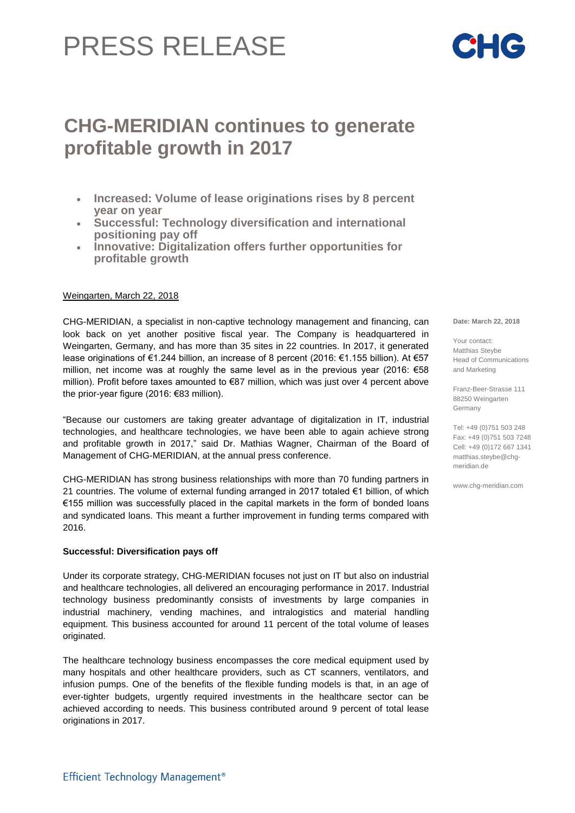# PRESS RELEASE

## **CHG-MERIDIAN continues to generate profitable growth in 2017**

- **Increased: Volume of lease originations rises by 8 percent year on year**
- **Successful: Technology diversification and international positioning pay off**
- **Innovative: Digitalization offers further opportunities for profitable growth**

### Weingarten, March 22, 2018

CHG-MERIDIAN, a specialist in non-captive technology management and financing, can look back on yet another positive fiscal year. The Company is headquartered in Weingarten, Germany, and has more than 35 sites in 22 countries. In 2017, it generated lease originations of €1.244 billion, an increase of 8 percent (2016: €1.155 billion). At €57 million, net income was at roughly the same level as in the previous year (2016: €58 million). Profit before taxes amounted to €87 million, which was just over 4 percent above the prior-year figure (2016: €83 million).

"Because our customers are taking greater advantage of digitalization in IT, industrial technologies, and healthcare technologies, we have been able to again achieve strong and profitable growth in 2017," said Dr. Mathias Wagner, Chairman of the Board of Management of CHG-MERIDIAN, at the annual press conference.

CHG-MERIDIAN has strong business relationships with more than 70 funding partners in 21 countries. The volume of external funding arranged in 2017 totaled €1 billion, of which €155 million was successfully placed in the capital markets in the form of bonded loans and syndicated loans. This meant a further improvement in funding terms compared with 2016.

#### **Successful: Diversification pays off**

Under its corporate strategy, CHG-MERIDIAN focuses not just on IT but also on industrial and healthcare technologies, all delivered an encouraging performance in 2017. Industrial technology business predominantly consists of investments by large companies in industrial machinery, vending machines, and intralogistics and material handling equipment. This business accounted for around 11 percent of the total volume of leases originated.

The healthcare technology business encompasses the core medical equipment used by many hospitals and other healthcare providers, such as CT scanners, ventilators, and infusion pumps. One of the benefits of the flexible funding models is that, in an age of ever-tighter budgets, urgently required investments in the healthcare sector can be achieved according to needs. This business contributed around 9 percent of total lease originations in 2017.

**Date: March 22, 2018**

Your contact: Matthias Steybe Head of Communications and Marketing

Franz-Beer-Strasse 111 88250 Weingarten Germany

Tel: +49 (0)751 503 248 Fax: +49 (0)751 503 7248 Cell: +49 (0)172 667 1341 [matthias.steybe@chg](mailto:matthias.steybe@chg-)meridian.de

www.chg-meridian.com

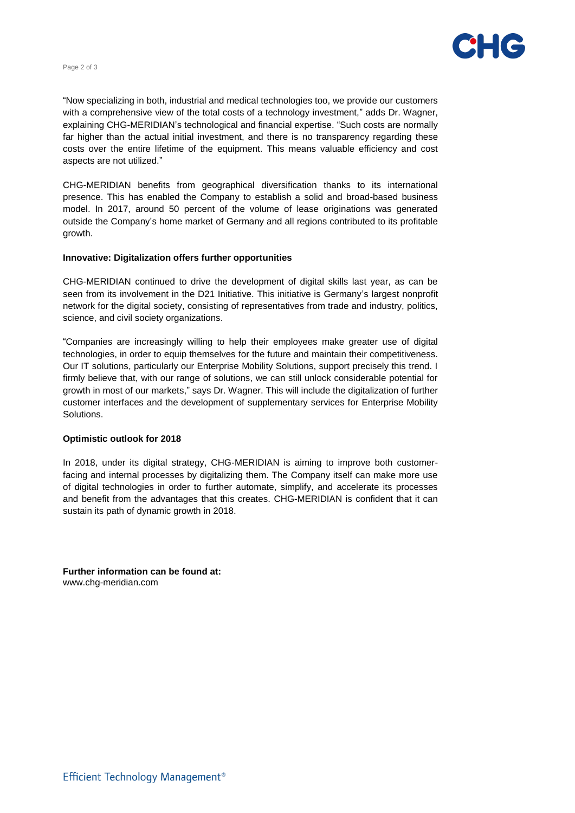



with a comprehensive view of the total costs of a technology investment," adds Dr. Wagner, costs over the entire lifetime of the equipment. This means valuable efficiency and cost "Now specializing in both, industrial and medical technologies too, we provide our customers explaining CHG-MERIDIAN's technological and financial expertise. "Such costs are normally far higher than the actual initial investment, and there is no transparency regarding these aspects are not utilized."

CHG-MERIDIAN benefits from geographical diversification thanks to its international presence. This has enabled the Company to establish a solid and broad-based business model. In 2017, around 50 percent of the volume of lease originations was generated outside the Company's home market of Germany and all regions contributed to its profitable growth.

#### **Innovative: Digitalization offers further opportunities**

CHG-MERIDIAN continued to drive the development of digital skills last year, as can be seen from its involvement in the D21 Initiative. This initiative is Germany's largest nonprofit network for the digital society, consisting of representatives from trade and industry, politics, science, and civil society organizations.

"Companies are increasingly willing to help their employees make greater use of digital technologies, in order to equip themselves for the future and maintain their competitiveness. Our IT solutions, particularly our Enterprise Mobility Solutions, support precisely this trend. I firmly believe that, with our range of solutions, we can still unlock considerable potential for growth in most of our markets," says Dr. Wagner. This will include the digitalization of further customer interfaces and the development of supplementary services for Enterprise Mobility Solutions.

#### **Optimistic outlook for 2018**

In 2018, under its digital strategy, CHG-MERIDIAN is aiming to improve both customerfacing and internal processes by digitalizing them. The Company itself can make more use of digital technologies in order to further automate, simplify, and accelerate its processes and benefit from the advantages that this creates. CHG-MERIDIAN is confident that it can sustain its path of dynamic growth in 2018.

**Further information can be found at:**  [www.chg-meridian.com](file://///v246/profiles$/dru/Desktop/www.chg-meridian.com%20%20)